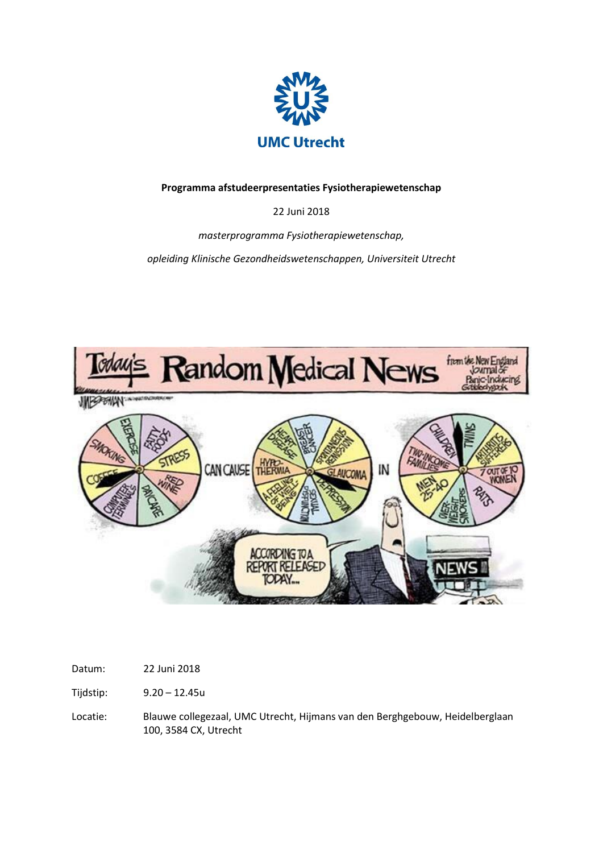

**Programma afstudeerpresentaties Fysiotherapiewetenschap** 

22 Juni 2018

*masterprogramma Fysiotherapiewetenschap,* 

*opleiding Klinische Gezondheidswetenschappen, Universiteit Utrecht*



Tijdstip: 9.20 – 12.45u

Locatie: Blauwe collegezaal, UMC Utrecht, Hijmans van den Berghgebouw, Heidelberglaan 100, 3584 CX, Utrecht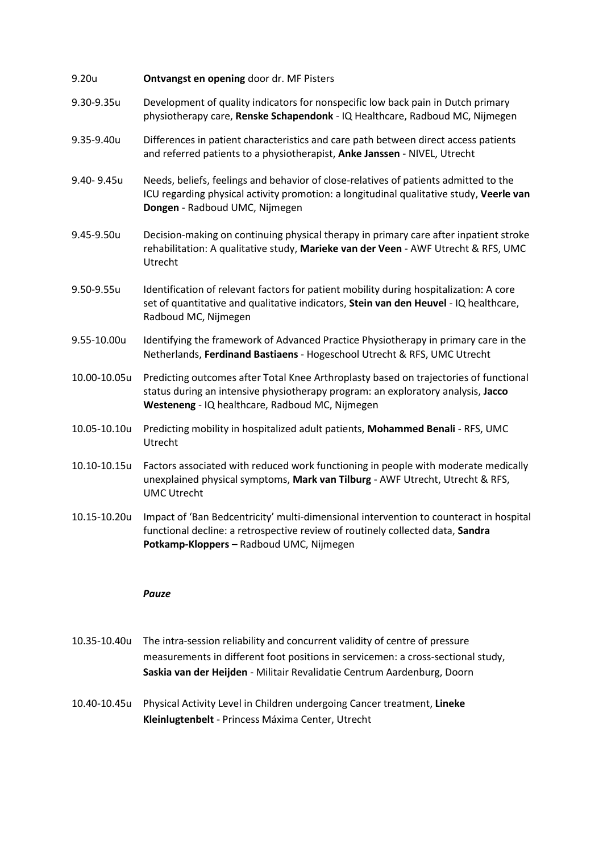- 9.20u **Ontvangst en opening** door dr. MF Pisters
- 9.30-9.35u Development of quality indicators for nonspecific low back pain in Dutch primary physiotherapy care, **Renske Schapendonk** - IQ Healthcare, Radboud MC, Nijmegen
- 9.35-9.40u Differences in patient characteristics and care path between direct access patients and referred patients to a physiotherapist, **Anke Janssen** - NIVEL, Utrecht
- 9.40- 9.45u Needs, beliefs, feelings and behavior of close-relatives of patients admitted to the ICU regarding physical activity promotion: a longitudinal qualitative study, **Veerle van Dongen** - Radboud UMC, Nijmegen
- 9.45-9.50u Decision-making on continuing physical therapy in primary care after inpatient stroke rehabilitation: A qualitative study, **Marieke van der Veen** - AWF Utrecht & RFS, UMC Utrecht
- 9.50-9.55u Identification of relevant factors for patient mobility during hospitalization: A core set of quantitative and qualitative indicators, **Stein van den Heuvel** - IQ healthcare, Radboud MC, Nijmegen
- 9.55-10.00u Identifying the framework of Advanced Practice Physiotherapy in primary care in the Netherlands, **Ferdinand Bastiaens** - Hogeschool Utrecht & RFS, UMC Utrecht
- 10.00-10.05u Predicting outcomes after Total Knee Arthroplasty based on trajectories of functional status during an intensive physiotherapy program: an exploratory analysis, **Jacco Westeneng** - IQ healthcare, Radboud MC, Nijmegen
- 10.05-10.10u Predicting mobility in hospitalized adult patients, **Mohammed Benali** RFS, UMC Utrecht
- 10.10-10.15u Factors associated with reduced work functioning in people with moderate medically unexplained physical symptoms, **Mark van Tilburg** - AWF Utrecht, Utrecht & RFS, UMC Utrecht
- 10.15-10.20u Impact of 'Ban Bedcentricity' multi-dimensional intervention to counteract in hospital functional decline: a retrospective review of routinely collected data, **Sandra Potkamp-Kloppers** – Radboud UMC, Nijmegen

## *Pauze*

- 10.35-10.40u The intra-session reliability and concurrent validity of centre of pressure measurements in different foot positions in servicemen: a cross-sectional study, **Saskia van der Heijden** - Militair Revalidatie Centrum Aardenburg, Doorn
- 10.40-10.45u Physical Activity Level in Children undergoing Cancer treatment, **Lineke Kleinlugtenbelt** - Princess Máxima Center, Utrecht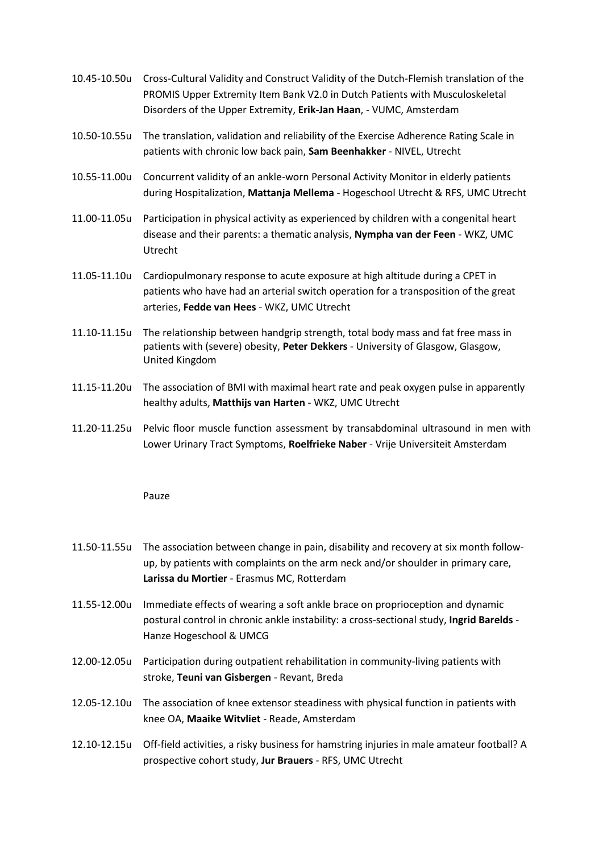- 10.45-10.50u Cross-Cultural Validity and Construct Validity of the Dutch-Flemish translation of the PROMIS Upper Extremity Item Bank V2.0 in Dutch Patients with Musculoskeletal Disorders of the Upper Extremity, **Erik-Jan Haan**, - VUMC, Amsterdam
- 10.50-10.55u The translation, validation and reliability of the Exercise Adherence Rating Scale in patients with chronic low back pain, **Sam Beenhakker** - NIVEL, Utrecht
- 10.55-11.00u Concurrent validity of an ankle-worn Personal Activity Monitor in elderly patients during Hospitalization, **Mattanja Mellema** - Hogeschool Utrecht & RFS, UMC Utrecht
- 11.00-11.05u Participation in physical activity as experienced by children with a congenital heart disease and their parents: a thematic analysis, **Nympha van der Feen** - WKZ, UMC Utrecht
- 11.05-11.10u Cardiopulmonary response to acute exposure at high altitude during a CPET in patients who have had an arterial switch operation for a transposition of the great arteries, **Fedde van Hees** - WKZ, UMC Utrecht
- 11.10-11.15u The relationship between handgrip strength, total body mass and fat free mass in patients with (severe) obesity, **Peter Dekkers** - University of Glasgow, Glasgow, United Kingdom
- 11.15-11.20u The association of BMI with maximal heart rate and peak oxygen pulse in apparently healthy adults, **Matthijs van Harten** - WKZ, UMC Utrecht
- 11.20-11.25u Pelvic floor muscle function assessment by transabdominal ultrasound in men with Lower Urinary Tract Symptoms, **Roelfrieke Naber** - Vrije Universiteit Amsterdam

## Pauze

- 11.50-11.55u The association between change in pain, disability and recovery at six month followup, by patients with complaints on the arm neck and/or shoulder in primary care, **Larissa du Mortier** - Erasmus MC, Rotterdam
- 11.55-12.00u Immediate effects of wearing a soft ankle brace on proprioception and dynamic postural control in chronic ankle instability: a cross-sectional study, **Ingrid Barelds** - Hanze Hogeschool & UMCG
- 12.00-12.05u Participation during outpatient rehabilitation in community-living patients with stroke, **Teuni van Gisbergen** - Revant, Breda
- 12.05-12.10u The association of knee extensor steadiness with physical function in patients with knee OA, **Maaike Witvliet** - Reade, Amsterdam
- 12.10-12.15u Off-field activities, a risky business for hamstring injuries in male amateur football? A prospective cohort study, **Jur Brauers** - RFS, UMC Utrecht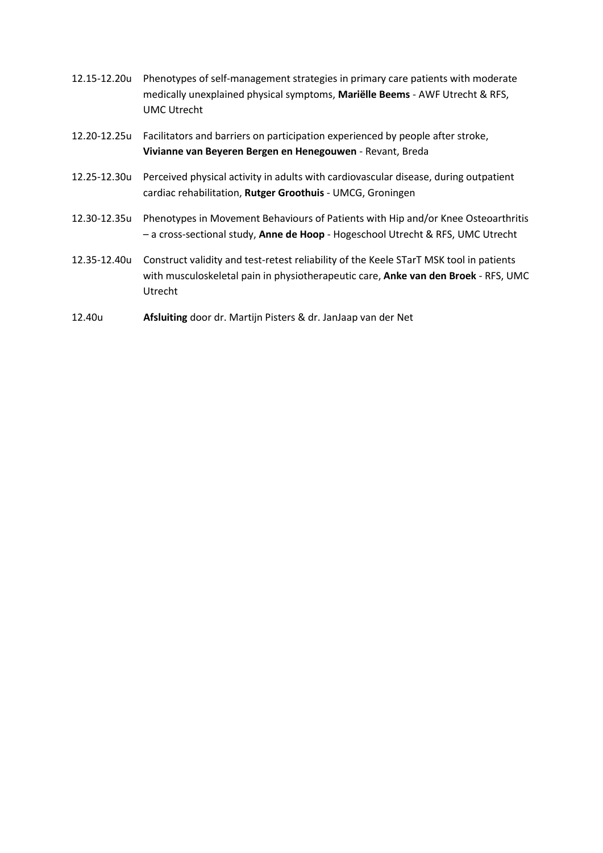- 12.15-12.20u Phenotypes of self-management strategies in primary care patients with moderate medically unexplained physical symptoms, **Mariëlle Beems** - AWF Utrecht & RFS, UMC Utrecht
- 12.20-12.25u Facilitators and barriers on participation experienced by people after stroke, **Vivianne van Beyeren Bergen en Henegouwen** - Revant, Breda
- 12.25-12.30u Perceived physical activity in adults with cardiovascular disease, during outpatient cardiac rehabilitation, **Rutger Groothuis** - UMCG, Groningen
- 12.30-12.35u Phenotypes in Movement Behaviours of Patients with Hip and/or Knee Osteoarthritis – a cross-sectional study, **Anne de Hoop** - Hogeschool Utrecht & RFS, UMC Utrecht
- 12.35-12.40u Construct validity and test-retest reliability of the Keele STarT MSK tool in patients with musculoskeletal pain in physiotherapeutic care, **Anke van den Broek** - RFS, UMC Utrecht
- 12.40u **Afsluiting** door dr. Martijn Pisters & dr. JanJaap van der Net